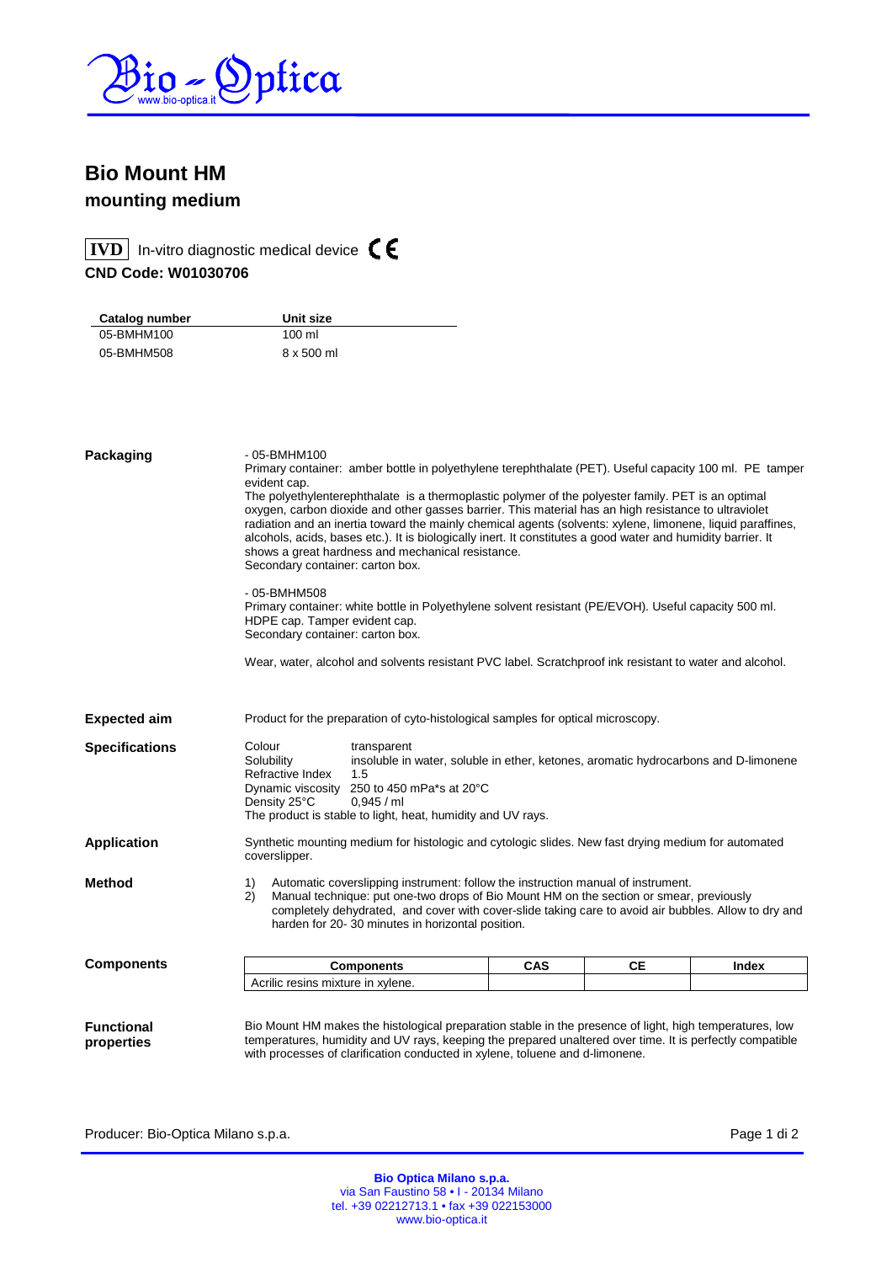

## **Bio Mount HM mounting medium**

**IVD** In-vitro diagnostic medical device  $\textsf{C}\epsilon$ 

**CND Code: W01030706** 

| Catalog number | Unit size        |  |
|----------------|------------------|--|
| 05-BMHM100     | $100 \mathrm{m}$ |  |
| 05-BMHM508     | 8 x 500 ml       |  |
|                |                  |  |

| Packaging                       | - 05-BMHM100<br>Primary container: amber bottle in polyethylene terephthalate (PET). Useful capacity 100 ml. PE tamper<br>evident cap.<br>The polyethylenterephthalate is a thermoplastic polymer of the polyester family. PET is an optimal<br>oxygen, carbon dioxide and other gasses barrier. This material has an high resistance to ultraviolet<br>radiation and an inertia toward the mainly chemical agents (solvents: xylene, limonene, liquid paraffines,<br>alcohols, acids, bases etc.). It is biologically inert. It constitutes a good water and humidity barrier. It<br>shows a great hardness and mechanical resistance.<br>Secondary container: carton box. |            |    |       |
|---------------------------------|-----------------------------------------------------------------------------------------------------------------------------------------------------------------------------------------------------------------------------------------------------------------------------------------------------------------------------------------------------------------------------------------------------------------------------------------------------------------------------------------------------------------------------------------------------------------------------------------------------------------------------------------------------------------------------|------------|----|-------|
|                                 | - 05-BMHM508<br>Primary container: white bottle in Polyethylene solvent resistant (PE/EVOH). Useful capacity 500 ml.<br>HDPE cap. Tamper evident cap.<br>Secondary container: carton box.                                                                                                                                                                                                                                                                                                                                                                                                                                                                                   |            |    |       |
|                                 | Wear, water, alcohol and solvents resistant PVC label. Scratchproof ink resistant to water and alcohol.                                                                                                                                                                                                                                                                                                                                                                                                                                                                                                                                                                     |            |    |       |
| <b>Expected aim</b>             | Product for the preparation of cyto-histological samples for optical microscopy.                                                                                                                                                                                                                                                                                                                                                                                                                                                                                                                                                                                            |            |    |       |
| <b>Specifications</b>           | Colour<br>transparent<br>Solubility<br>insoluble in water, soluble in ether, ketones, aromatic hydrocarbons and D-limonene<br>Refractive Index<br>1.5<br>250 to 450 mPa*s at 20°C<br>Dynamic viscosity<br>Density 25°C<br>0,945 / ml<br>The product is stable to light, heat, humidity and UV rays.                                                                                                                                                                                                                                                                                                                                                                         |            |    |       |
| <b>Application</b>              | Synthetic mounting medium for histologic and cytologic slides. New fast drying medium for automated<br>coverslipper.                                                                                                                                                                                                                                                                                                                                                                                                                                                                                                                                                        |            |    |       |
| <b>Method</b>                   | Automatic coverslipping instrument: follow the instruction manual of instrument.<br>1)<br>2)<br>Manual technique: put one-two drops of Bio Mount HM on the section or smear, previously<br>completely dehydrated, and cover with cover-slide taking care to avoid air bubbles. Allow to dry and<br>harden for 20-30 minutes in horizontal position.                                                                                                                                                                                                                                                                                                                         |            |    |       |
| <b>Components</b>               | <b>Components</b>                                                                                                                                                                                                                                                                                                                                                                                                                                                                                                                                                                                                                                                           | <b>CAS</b> | CЕ | Index |
|                                 | Acrilic resins mixture in xylene.                                                                                                                                                                                                                                                                                                                                                                                                                                                                                                                                                                                                                                           |            |    |       |
| <b>Functional</b><br>properties | Bio Mount HM makes the histological preparation stable in the presence of light, high temperatures, low<br>temperatures, humidity and UV rays, keeping the prepared unaltered over time. It is perfectly compatible<br>with processes of clarification conducted in xylene, toluene and d-limonene.                                                                                                                                                                                                                                                                                                                                                                         |            |    |       |

Producer: Bio-Optica Milano s.p.a. extending the state of the producer: Bio-Optica Milano s.p.a.